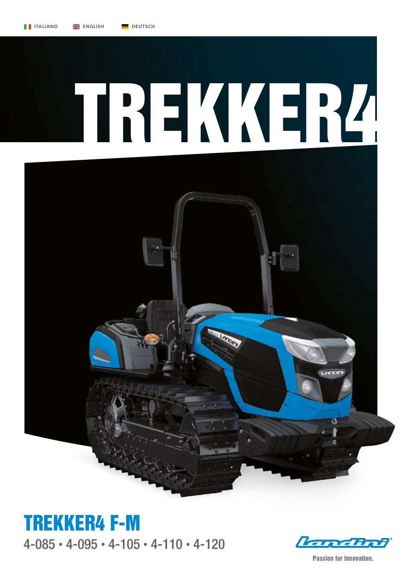

4-085 • 4-095 • 4-105 • 4-110 • 4-120 TREKKER4 F-M

*Engeliph* 

**Passion for Innovation.**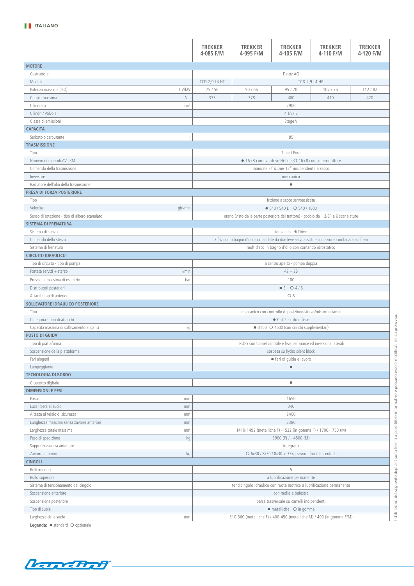|                                                 | <b>TREKKER</b><br>4-085 F/M                                                                    | <b>TREKKER</b><br>4-095 F/M                                                           | <b>TREKKER</b><br>4-105 F/M                                      | <b>TREKKER</b><br>4-110 F/M                                          | <b>TREKKER</b><br>4-120 F/M |  |      |  |  |  |
|-------------------------------------------------|------------------------------------------------------------------------------------------------|---------------------------------------------------------------------------------------|------------------------------------------------------------------|----------------------------------------------------------------------|-----------------------------|--|------|--|--|--|
| <b>MOTORE</b>                                   |                                                                                                |                                                                                       |                                                                  |                                                                      |                             |  |      |  |  |  |
| Costruttore                                     |                                                                                                |                                                                                       | Deutz AG                                                         |                                                                      |                             |  |      |  |  |  |
| Modello                                         | <b>TCD 2,9 L4 HT</b>                                                                           |                                                                                       |                                                                  | TCD 2,9 L4 HP                                                        |                             |  |      |  |  |  |
| CV/kW<br>Potenza massima (ISO)                  | 75 / 56                                                                                        | 90/66                                                                                 | 95 / 70                                                          | 102 / 75                                                             | 112/82                      |  |      |  |  |  |
| Coppia massima<br>Nm                            | 375                                                                                            | 378                                                                                   | 400                                                              | 410                                                                  | 420                         |  |      |  |  |  |
| Cilindrata<br>cm <sup>3</sup>                   |                                                                                                |                                                                                       | 2900                                                             |                                                                      |                             |  |      |  |  |  |
| Cilindri / Valvole                              |                                                                                                |                                                                                       | 4 TA / 8                                                         |                                                                      |                             |  |      |  |  |  |
| Classe di emissioni                             |                                                                                                |                                                                                       | Stage V                                                          |                                                                      |                             |  |      |  |  |  |
| <b>CAPACITÀ</b>                                 |                                                                                                |                                                                                       |                                                                  |                                                                      |                             |  |      |  |  |  |
| Serbatoio carburante<br>т                       |                                                                                                |                                                                                       | 85                                                               |                                                                      |                             |  |      |  |  |  |
| <b>TRASMISSIONE</b>                             |                                                                                                |                                                                                       |                                                                  |                                                                      |                             |  |      |  |  |  |
| Tipo                                            |                                                                                                |                                                                                       | Speed Four                                                       |                                                                      |                             |  |      |  |  |  |
| Numero di rapporti AV+RM                        |                                                                                                |                                                                                       | • 16+8 con overdrive Hi-Lo - O 16+8 con superriduttore           |                                                                      |                             |  |      |  |  |  |
| Comando della trasmissione                      |                                                                                                |                                                                                       | manuale - frizione 12" indipendente a secco                      |                                                                      |                             |  |      |  |  |  |
| Inversore                                       |                                                                                                |                                                                                       | meccanico                                                        |                                                                      |                             |  |      |  |  |  |
| Radiatore dell'olio della trasmissione          |                                                                                                |                                                                                       | $\bullet$                                                        |                                                                      |                             |  |      |  |  |  |
| <b>PRESA DI FORZA POSTERIORE</b>                |                                                                                                |                                                                                       |                                                                  |                                                                      |                             |  |      |  |  |  |
| Tipo                                            |                                                                                                |                                                                                       | frizione a secco servoassistita                                  |                                                                      |                             |  |      |  |  |  |
| Velocità<br>giri/min                            |                                                                                                |                                                                                       | • 540 / 540 E O 540 / 1000                                       |                                                                      |                             |  |      |  |  |  |
| Senso di rotazione - tipo di albero scanalato   |                                                                                                | orario (visto dalla parte posteriore del trattore) - codolo da 1 3/8" a 6 scanalature |                                                                  |                                                                      |                             |  |      |  |  |  |
| <b>SISTEMA DI FRENATURA</b>                     |                                                                                                |                                                                                       |                                                                  |                                                                      |                             |  |      |  |  |  |
| Sistema di sterzo                               |                                                                                                |                                                                                       | idrostatico Hi-Drive                                             |                                                                      |                             |  |      |  |  |  |
| Comando dello sterzo                            | 2 frizioni in bagno d'olio comandate da due leve servoassistite con azione combinata sui freni |                                                                                       |                                                                  |                                                                      |                             |  |      |  |  |  |
| Sistema di frenatura                            |                                                                                                |                                                                                       | multidisco in bagno d'olio con comando idrostatico               |                                                                      |                             |  |      |  |  |  |
| <b>CIRCUITO IDRAULICO</b>                       |                                                                                                |                                                                                       |                                                                  |                                                                      |                             |  |      |  |  |  |
| Tipo di circuito - tipo di pompa                |                                                                                                | a centro aperto - pompa doppia                                                        |                                                                  |                                                                      |                             |  |      |  |  |  |
| l/min<br>Portata servizi + sterzo               |                                                                                                |                                                                                       | $42 + 28$                                                        |                                                                      |                             |  |      |  |  |  |
| Pressione massima di esercizio<br>bar           |                                                                                                |                                                                                       | 180                                                              |                                                                      |                             |  |      |  |  |  |
| Distributori posteriori                         |                                                                                                |                                                                                       | $•3$ $04/5$                                                      |                                                                      |                             |  |      |  |  |  |
| Attacchi rapidi anteriori                       |                                                                                                |                                                                                       | O 6                                                              |                                                                      |                             |  |      |  |  |  |
| SOLLEVATORE IDRAULICO POSTERIORE                |                                                                                                |                                                                                       |                                                                  |                                                                      |                             |  |      |  |  |  |
| Tipo<br>Categoria - tipo di attacchi            | meccanico con controllo di posizione/sforzo/misto/flottante<br>• Cat.2 - rotule fisse          |                                                                                       |                                                                  |                                                                      |                             |  |      |  |  |  |
| Capacità massima di sollevamento ai ganci<br>kg | • 3150 O 4500 (con cilindri supplementari)                                                     |                                                                                       |                                                                  |                                                                      |                             |  |      |  |  |  |
| <b>POSTO DI GUIDA</b>                           |                                                                                                |                                                                                       |                                                                  |                                                                      |                             |  |      |  |  |  |
| Tipo di piattaforma                             |                                                                                                |                                                                                       | ROPS con tunnel centrale e leve per marce ed inversione laterali |                                                                      |                             |  |      |  |  |  |
| Sospensione della piattaforma                   | sospesa su hydro silent block                                                                  |                                                                                       |                                                                  |                                                                      |                             |  |      |  |  |  |
| Fari alogeni                                    | · fari di guida e lavoro                                                                       |                                                                                       |                                                                  |                                                                      |                             |  |      |  |  |  |
| Lampeggiante                                    |                                                                                                |                                                                                       | $\bullet$                                                        |                                                                      |                             |  |      |  |  |  |
| <b>TECNOLOGIA DI BORDO</b>                      |                                                                                                |                                                                                       |                                                                  |                                                                      |                             |  |      |  |  |  |
| Cruscotto digitale                              |                                                                                                |                                                                                       | $\bullet$                                                        |                                                                      |                             |  |      |  |  |  |
| <b>DIMENSIONI E PESI</b>                        |                                                                                                |                                                                                       |                                                                  |                                                                      |                             |  |      |  |  |  |
| Passo<br>mm                                     |                                                                                                |                                                                                       | 1650                                                             |                                                                      |                             |  |      |  |  |  |
| Luce libera al suolo<br>mm                      | 340                                                                                            |                                                                                       |                                                                  |                                                                      |                             |  |      |  |  |  |
| Altezza al telaio di sicurezza<br>mm            |                                                                                                |                                                                                       |                                                                  |                                                                      |                             |  | 2400 |  |  |  |
| Lunghezza massima senza zavorre anteriori<br>mm | 3380                                                                                           |                                                                                       |                                                                  |                                                                      |                             |  |      |  |  |  |
| Larghezza totale massima<br>mm                  | 1410-1492 (metalliche F) -1532 (in gomma F) / 1700-1750 (M)                                    |                                                                                       |                                                                  |                                                                      |                             |  |      |  |  |  |
| Peso di spedizione<br>kg                        | 3900 (F) / - 4500 (M)                                                                          |                                                                                       |                                                                  |                                                                      |                             |  |      |  |  |  |
| Supporto zavorra anteriore                      | integrato                                                                                      |                                                                                       |                                                                  |                                                                      |                             |  |      |  |  |  |
| Zavorre anteriori<br>kg                         |                                                                                                | O 6x30 / 8x30 / 8x30 + 33kg zavorra frontale centrale                                 |                                                                  |                                                                      |                             |  |      |  |  |  |
| <b>CINGOLI</b>                                  |                                                                                                |                                                                                       |                                                                  |                                                                      |                             |  |      |  |  |  |
| Rulli inferiori                                 |                                                                                                |                                                                                       | 5                                                                |                                                                      |                             |  |      |  |  |  |
| Rullo superiore                                 |                                                                                                |                                                                                       | a lubrificazione permanente                                      |                                                                      |                             |  |      |  |  |  |
| Sistema di tensionamento del cingolo            |                                                                                                |                                                                                       |                                                                  | tendicingolo idraulico con ruota motrice a lubrificazione permanente |                             |  |      |  |  |  |
| Sospensione anteriore                           | con molla a balestra                                                                           |                                                                                       |                                                                  |                                                                      |                             |  |      |  |  |  |
| Sospensione posteriore                          | barra trasversale su carrelli indipendenti                                                     |                                                                                       |                                                                  |                                                                      |                             |  |      |  |  |  |
| Tipo di suole                                   | · metalliche O in gomma                                                                        |                                                                                       |                                                                  |                                                                      |                             |  |      |  |  |  |
| Larghezza delle suole<br>mm                     | 310-360 (metalliche F) / 400-450 (metalliche M) / 400 (in gomma F/M)                           |                                                                                       |                                                                  |                                                                      |                             |  |      |  |  |  |

**Legenda:** ● standard ○ opzionale

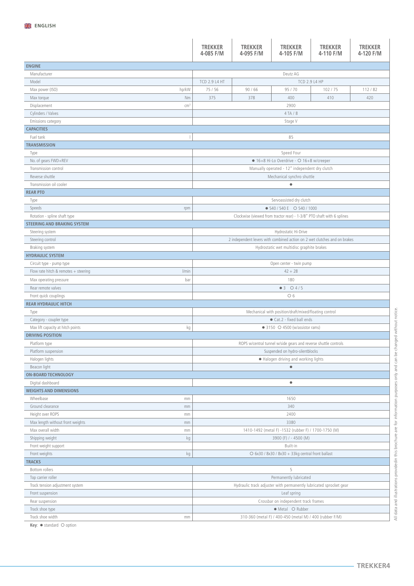|                                               | <b>TREKKER</b><br>4-085 F/M                                        | <b>TREKKER</b><br>4-095 F/M                                               | <b>TREKKER</b><br>4-105 F/M                                            | <b>TREKKER</b><br>4-110 F/M | <b>TREKKER</b><br>4-120 F/M |  |  |  |
|-----------------------------------------------|--------------------------------------------------------------------|---------------------------------------------------------------------------|------------------------------------------------------------------------|-----------------------------|-----------------------------|--|--|--|
| <b>ENGINE</b>                                 |                                                                    |                                                                           |                                                                        |                             |                             |  |  |  |
| Manufacturer                                  |                                                                    |                                                                           | Deutz AG                                                               |                             |                             |  |  |  |
| Model                                         | TCD 2.9 L4 HT                                                      |                                                                           | TCD 2.9 L4 HP                                                          |                             |                             |  |  |  |
| hp/kW<br>Max power (ISO)                      | 75 / 56                                                            | 90/66                                                                     | 95 / 70                                                                | 102/75                      | 112/82                      |  |  |  |
| Nm<br>Max torque                              | 375                                                                | 378                                                                       | 400                                                                    | 410                         | 420                         |  |  |  |
| Displacement<br>$\text{cm}^3$                 |                                                                    |                                                                           | 2900                                                                   |                             |                             |  |  |  |
| Cylinders / Valves                            |                                                                    |                                                                           | 4 TA / 8                                                               |                             |                             |  |  |  |
| Emissions category                            |                                                                    |                                                                           | Stage V                                                                |                             |                             |  |  |  |
| <b>CAPACITIES</b>                             |                                                                    |                                                                           |                                                                        |                             |                             |  |  |  |
| Fuel tank<br>$\overline{\phantom{a}}$         |                                                                    |                                                                           | 85                                                                     |                             |                             |  |  |  |
| <b>TRANSMISSION</b>                           |                                                                    |                                                                           |                                                                        |                             |                             |  |  |  |
| Type                                          |                                                                    |                                                                           | Speed Four                                                             |                             |                             |  |  |  |
| No. of gears FWD+REV                          |                                                                    |                                                                           | • 16+8 Hi-Lo Overdrive - O 16+8 w/creeper                              |                             |                             |  |  |  |
| Transmission control                          |                                                                    |                                                                           | Manually operated - 12" independent dry clutch                         |                             |                             |  |  |  |
| Reverse shuttle                               |                                                                    |                                                                           | Mechanical synchro shuttle                                             |                             |                             |  |  |  |
| Transmission oil cooler                       |                                                                    |                                                                           | $\bullet$                                                              |                             |                             |  |  |  |
| <b>REAR PTO</b>                               |                                                                    |                                                                           |                                                                        |                             |                             |  |  |  |
| Type                                          |                                                                    |                                                                           | Servoassisted dry clutch                                               |                             |                             |  |  |  |
| Speeds<br>rpm                                 |                                                                    |                                                                           | $\bullet$ 540 / 540 E $\circ$ 540 / 1000                               |                             |                             |  |  |  |
| Rotation - spline shaft type                  |                                                                    |                                                                           | Clockwise (viewed from tractor rear) - 1-3/8" PTO shaft with 6 splines |                             |                             |  |  |  |
| <b>STEERING AND BRAKING SYSTEM</b>            |                                                                    |                                                                           |                                                                        |                             |                             |  |  |  |
| Steering system                               |                                                                    |                                                                           | Hydrostatic Hi-Drive                                                   |                             |                             |  |  |  |
| Steering control                              |                                                                    | 2 independent levers with combined action on 2 wet clutches and on brakes |                                                                        |                             |                             |  |  |  |
| Braking system                                |                                                                    |                                                                           | Hydrostatic wet multidisc graphite brakes                              |                             |                             |  |  |  |
| <b>HYDRAULIC SYSTEM</b>                       |                                                                    |                                                                           |                                                                        |                             |                             |  |  |  |
| Circuit type - pump type                      |                                                                    |                                                                           | Open center - twin pump                                                |                             |                             |  |  |  |
| Flow rate hitch & remotes + steering<br>l/min |                                                                    |                                                                           | $42 + 28$                                                              |                             |                             |  |  |  |
| bar<br>Max operating pressure                 |                                                                    |                                                                           | 180                                                                    |                             |                             |  |  |  |
| Rear remote valves                            |                                                                    |                                                                           | $•3$ $04/5$                                                            |                             |                             |  |  |  |
| Front quick couplings                         |                                                                    |                                                                           | O 6                                                                    |                             |                             |  |  |  |
| <b>REAR HYDRAULIC HITCH</b>                   |                                                                    |                                                                           |                                                                        |                             |                             |  |  |  |
| Type                                          | Mechanical with position/draft/mixed/floating control              |                                                                           |                                                                        |                             |                             |  |  |  |
| Category - coupler type                       | Cat.2 - fixed ball ends                                            |                                                                           |                                                                        |                             |                             |  |  |  |
| Max lift capacity at hitch points<br>kg       | $\bullet$ 3150 $\circ$ 4500 (w/assistor rams)                      |                                                                           |                                                                        |                             |                             |  |  |  |
| <b>DRIVING POSITION</b>                       |                                                                    |                                                                           |                                                                        |                             |                             |  |  |  |
| Platform type                                 | ROPS w/central tunnel w/side gears and reverse shuttle controls    |                                                                           |                                                                        |                             |                             |  |  |  |
| Platform suspension                           | Suspended on hydro-silentblocks                                    |                                                                           |                                                                        |                             |                             |  |  |  |
| Halogen lights                                | • Halogen driving and working lights                               |                                                                           |                                                                        |                             |                             |  |  |  |
| Beacon light                                  |                                                                    |                                                                           | $\bullet$                                                              |                             |                             |  |  |  |
| <b>ON-BOARD TECHNOLOGY</b>                    |                                                                    |                                                                           |                                                                        |                             |                             |  |  |  |
| Digital dashboard                             |                                                                    |                                                                           | ۰                                                                      |                             |                             |  |  |  |
| <b>WEIGHTS AND DIMENSIONS</b>                 |                                                                    |                                                                           |                                                                        |                             |                             |  |  |  |
| Wheelbase<br>mm                               |                                                                    |                                                                           | 1650                                                                   |                             |                             |  |  |  |
| Ground clearance<br>mm                        | 340                                                                |                                                                           |                                                                        |                             |                             |  |  |  |
| Height over ROPS<br>mm                        |                                                                    | 2400                                                                      |                                                                        |                             |                             |  |  |  |
| Max length without front weights<br>mm        | 3380                                                               |                                                                           |                                                                        |                             |                             |  |  |  |
| Max overall width<br>mm                       | 1410-1492 (metal F) -1532 (rubber F) / 1700-1750 (M)               |                                                                           |                                                                        |                             |                             |  |  |  |
| Shipping weight<br>kg                         | 3900 (F) / - 4500 (M)                                              |                                                                           |                                                                        |                             |                             |  |  |  |
| Front weight support                          |                                                                    |                                                                           | Built-in                                                               |                             |                             |  |  |  |
| Front weights<br>kg                           | O 6x30 / 8x30 / 8x30 + 33kg central front ballast                  |                                                                           |                                                                        |                             |                             |  |  |  |
| <b>TRACKS</b>                                 |                                                                    |                                                                           |                                                                        |                             |                             |  |  |  |
| Bottom rollers                                |                                                                    |                                                                           | 5                                                                      |                             |                             |  |  |  |
| Top carrier roller                            | Permanently lubricated                                             |                                                                           |                                                                        |                             |                             |  |  |  |
| Track tension adjustment system               | Hydraulic track adjuster with permanently lubricated sprocket gear |                                                                           |                                                                        |                             |                             |  |  |  |
| Front suspension                              | Leaf spring                                                        |                                                                           |                                                                        |                             |                             |  |  |  |
| Rear suspension                               | Crossbar on independent track frames                               |                                                                           |                                                                        |                             |                             |  |  |  |
| Track shoe type                               | · Metal O Rubber                                                   |                                                                           |                                                                        |                             |                             |  |  |  |
| Track shoe width<br>mm                        | 310-360 (metal F) / 400-450 (metal M) / 400 (rubber F/M)           |                                                                           |                                                                        |                             |                             |  |  |  |

**Key:** ● standard ○ option